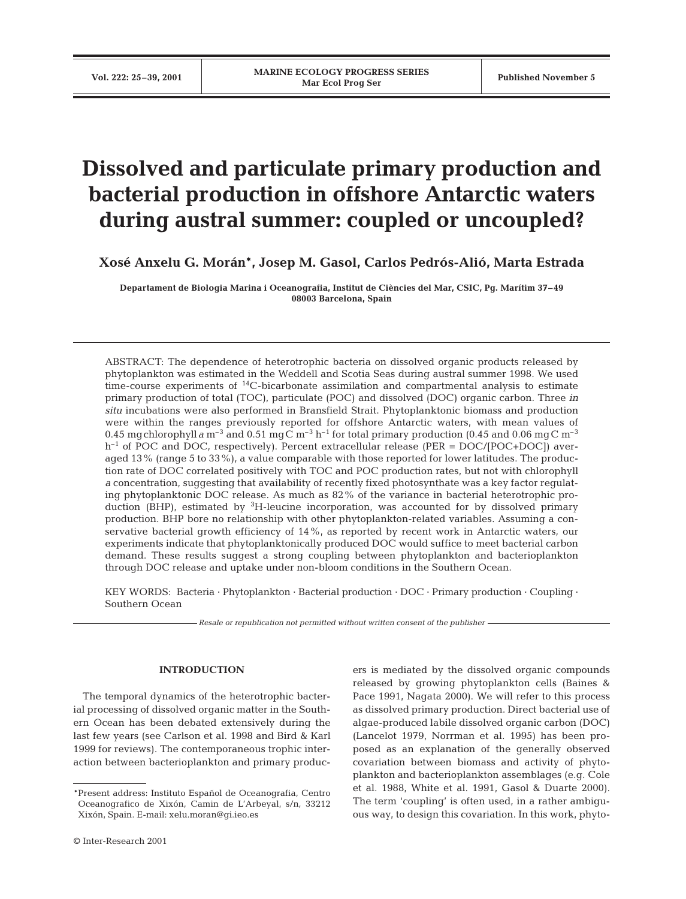# **Dissolved and particulate primary production and bacterial production in offshore Antarctic waters during austral summer: coupled or uncoupled?**

**Xosé Anxelu G. Morán\*, Josep M. Gasol, Carlos Pedrós-Alió, Marta Estrada**

**Departament de Biologia Marina i Oceanografia, Institut de Ciències del Mar, CSIC, Pg. Marítim 37–49 08003 Barcelona, Spain**

ABSTRACT: The dependence of heterotrophic bacteria on dissolved organic products released by phytoplankton was estimated in the Weddell and Scotia Seas during austral summer 1998. We used time-course experiments of 14C-bicarbonate assimilation and compartmental analysis to estimate primary production of total (TOC), particulate (POC) and dissolved (DOC) organic carbon. Three *in situ* incubations were also performed in Bransfield Strait. Phytoplanktonic biomass and production were within the ranges previously reported for offshore Antarctic waters, with mean values of 0.45 mgchlorophyll*a* m<sup>-3</sup> and 0.51 mgC m<sup>-3</sup> h<sup>-1</sup> for total primary production (0.45 and 0.06 mgC m<sup>-3</sup>  $h^{-1}$  of POC and DOC, respectively). Percent extracellular release (PER = DOC/[POC+DOC]) averaged 13% (range 5 to 33%), a value comparable with those reported for lower latitudes. The production rate of DOC correlated positively with TOC and POC production rates, but not with chlorophyll *a* concentration, suggesting that availability of recently fixed photosynthate was a key factor regulating phytoplanktonic DOC release. As much as 82% of the variance in bacterial heterotrophic production (BHP), estimated by <sup>3</sup>H-leucine incorporation, was accounted for by dissolved primary production. BHP bore no relationship with other phytoplankton-related variables. Assuming a conservative bacterial growth efficiency of 14%, as reported by recent work in Antarctic waters, our experiments indicate that phytoplanktonically produced DOC would suffice to meet bacterial carbon demand. These results suggest a strong coupling between phytoplankton and bacterioplankton through DOC release and uptake under non-bloom conditions in the Southern Ocean.

KEY WORDS: Bacteria · Phytoplankton · Bacterial production · DOC · Primary production · Coupling · Southern Ocean

*Resale or republication not permitted without written consent of the publisher*

# **INTRODUCTION**

The temporal dynamics of the heterotrophic bacterial processing of dissolved organic matter in the Southern Ocean has been debated extensively during the last few years (see Carlson et al. 1998 and Bird & Karl 1999 for reviews). The contemporaneous trophic interaction between bacterioplankton and primary produc-

ers is mediated by the dissolved organic compounds released by growing phytoplankton cells (Baines & Pace 1991, Nagata 2000). We will refer to this process as dissolved primary production. Direct bacterial use of algae-produced labile dissolved organic carbon (DOC) (Lancelot 1979, Norrman et al. 1995) has been proposed as an explanation of the generally observed covariation between biomass and activity of phytoplankton and bacterioplankton assemblages (e.g. Cole et al. 1988, White et al. 1991, Gasol & Duarte 2000). The term 'coupling' is often used, in a rather ambiguous way, to design this covariation. In this work, phyto-

<sup>\*</sup>Present address: Instituto Español de Oceanografia, Centro Oceanografico de Xixón, Camin de L'Arbeyal, s/n, 33212 Xixón, Spain. E-mail: xelu.moran@gi.ieo.es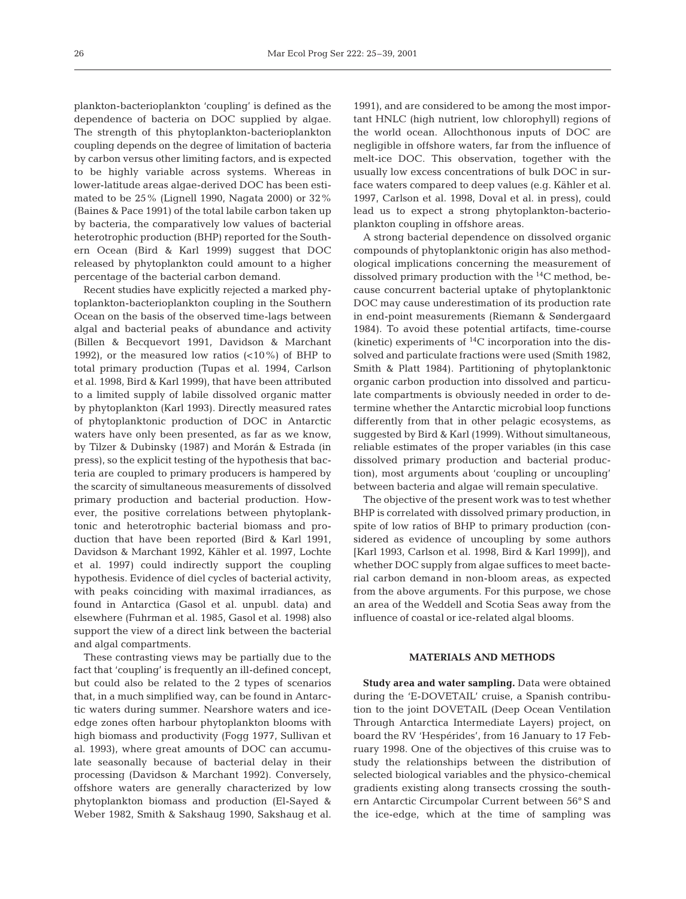plankton-bacterioplankton 'coupling' is defined as the dependence of bacteria on DOC supplied by algae. The strength of this phytoplankton-bacterioplankton coupling depends on the degree of limitation of bacteria by carbon versus other limiting factors, and is expected to be highly variable across systems. Whereas in lower-latitude areas algae-derived DOC has been estimated to be 25% (Lignell 1990, Nagata 2000) or 32% (Baines & Pace 1991) of the total labile carbon taken up by bacteria, the comparatively low values of bacterial heterotrophic production (BHP) reported for the Southern Ocean (Bird & Karl 1999) suggest that DOC released by phytoplankton could amount to a higher percentage of the bacterial carbon demand.

Recent studies have explicitly rejected a marked phytoplankton-bacterioplankton coupling in the Southern Ocean on the basis of the observed time-lags between algal and bacterial peaks of abundance and activity (Billen & Becquevort 1991, Davidson & Marchant 1992), or the measured low ratios  $\left($ <10%) of BHP to total primary production (Tupas et al. 1994, Carlson et al. 1998, Bird & Karl 1999), that have been attributed to a limited supply of labile dissolved organic matter by phytoplankton (Karl 1993). Directly measured rates of phytoplanktonic production of DOC in Antarctic waters have only been presented, as far as we know, by Tilzer & Dubinsky (1987) and Morán & Estrada (in press), so the explicit testing of the hypothesis that bacteria are coupled to primary producers is hampered by the scarcity of simultaneous measurements of dissolved primary production and bacterial production. However, the positive correlations between phytoplanktonic and heterotrophic bacterial biomass and production that have been reported (Bird & Karl 1991, Davidson & Marchant 1992, Kähler et al. 1997, Lochte et al. 1997) could indirectly support the coupling hypothesis. Evidence of diel cycles of bacterial activity, with peaks coinciding with maximal irradiances, as found in Antarctica (Gasol et al. unpubl. data) and elsewhere (Fuhrman et al. 1985, Gasol et al. 1998) also support the view of a direct link between the bacterial and algal compartments.

These contrasting views may be partially due to the fact that 'coupling' is frequently an ill-defined concept, but could also be related to the 2 types of scenarios that, in a much simplified way, can be found in Antarctic waters during summer. Nearshore waters and iceedge zones often harbour phytoplankton blooms with high biomass and productivity (Fogg 1977, Sullivan et al. 1993), where great amounts of DOC can accumulate seasonally because of bacterial delay in their processing (Davidson & Marchant 1992). Conversely, offshore waters are generally characterized by low phytoplankton biomass and production (El-Sayed & Weber 1982, Smith & Sakshaug 1990, Sakshaug et al.

1991), and are considered to be among the most important HNLC (high nutrient, low chlorophyll) regions of the world ocean. Allochthonous inputs of DOC are negligible in offshore waters, far from the influence of melt-ice DOC. This observation, together with the usually low excess concentrations of bulk DOC in surface waters compared to deep values (e.g. Kähler et al. 1997, Carlson et al. 1998, Doval et al. in press), could lead us to expect a strong phytoplankton-bacterioplankton coupling in offshore areas.

A strong bacterial dependence on dissolved organic compounds of phytoplanktonic origin has also methodological implications concerning the measurement of dissolved primary production with the 14C method, because concurrent bacterial uptake of phytoplanktonic DOC may cause underestimation of its production rate in end-point measurements (Riemann & Søndergaard 1984). To avoid these potential artifacts, time-course (kinetic) experiments of  ${}^{14}C$  incorporation into the dissolved and particulate fractions were used (Smith 1982, Smith & Platt 1984). Partitioning of phytoplanktonic organic carbon production into dissolved and particulate compartments is obviously needed in order to determine whether the Antarctic microbial loop functions differently from that in other pelagic ecosystems, as suggested by Bird & Karl (1999). Without simultaneous, reliable estimates of the proper variables (in this case dissolved primary production and bacterial production), most arguments about 'coupling or uncoupling' between bacteria and algae will remain speculative.

The objective of the present work was to test whether BHP is correlated with dissolved primary production, in spite of low ratios of BHP to primary production (considered as evidence of uncoupling by some authors [Karl 1993, Carlson et al. 1998, Bird & Karl 1999]), and whether DOC supply from algae suffices to meet bacterial carbon demand in non-bloom areas, as expected from the above arguments. For this purpose, we chose an area of the Weddell and Scotia Seas away from the influence of coastal or ice-related algal blooms.

## **MATERIALS AND METHODS**

**Study area and water sampling.** Data were obtained during the 'E-DOVETAIL' cruise, a Spanish contribution to the joint DOVETAIL (Deep Ocean Ventilation Through Antarctica Intermediate Layers) project, on board the RV 'Hespérides', from 16 January to 17 February 1998. One of the objectives of this cruise was to study the relationships between the distribution of selected biological variables and the physico-chemical gradients existing along transects crossing the southern Antarctic Circumpolar Current between 56° S and the ice-edge, which at the time of sampling was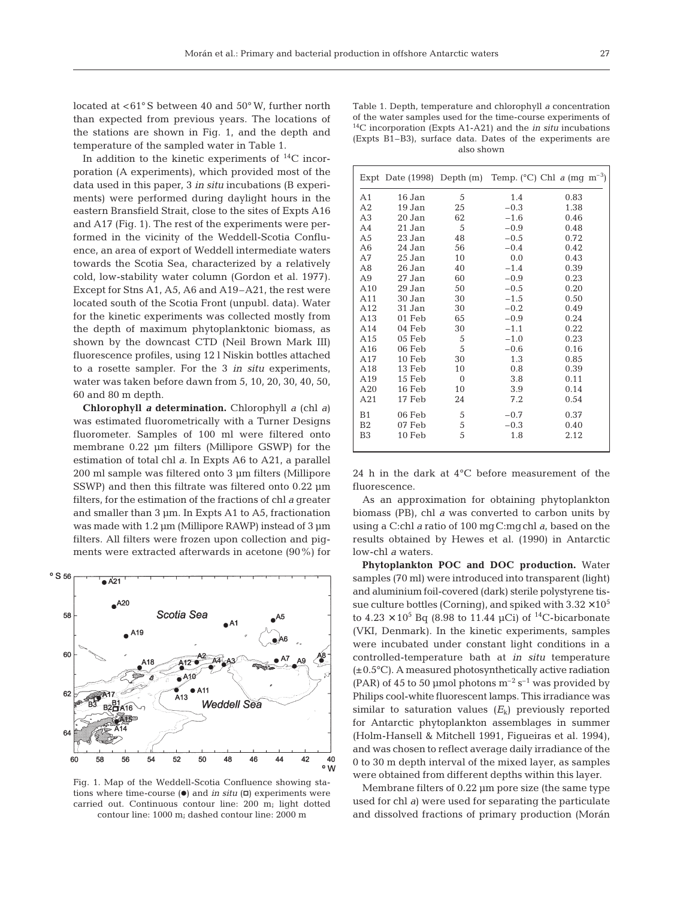located at <61° S between 40 and 50° W, further north than expected from previous years. The locations of the stations are shown in Fig. 1, and the depth and temperature of the sampled water in Table 1.

In addition to the kinetic experiments of  $^{14}C$  incorporation (A experiments), which provided most of the data used in this paper, 3 *in situ* incubations (B experiments) were performed during daylight hours in the eastern Bransfield Strait, close to the sites of Expts A16 and A17 (Fig. 1). The rest of the experiments were performed in the vicinity of the Weddell-Scotia Confluence, an area of export of Weddell intermediate waters towards the Scotia Sea, characterized by a relatively cold, low-stability water column (Gordon et al. 1977). Except for Stns A1, A5, A6 and A19–A21, the rest were located south of the Scotia Front (unpubl. data). Water for the kinetic experiments was collected mostly from the depth of maximum phytoplanktonic biomass, as shown by the downcast CTD (Neil Brown Mark III) fluorescence profiles, using 12 l Niskin bottles attached to a rosette sampler. For the 3 *in situ* experiments, water was taken before dawn from 5, 10, 20, 30, 40, 50, 60 and 80 m depth.

**Chlorophyll** *a* **determination.** Chlorophyll *a* (chl *a*) was estimated fluorometrically with a Turner Designs fluorometer. Samples of 100 ml were filtered onto membrane 0.22 µm filters (Millipore GSWP) for the estimation of total chl *a*. In Expts A6 to A21, a parallel 200 ml sample was filtered onto 3 µm filters (Millipore SSWP) and then this filtrate was filtered onto 0.22  $\mu$ m filters, for the estimation of the fractions of chl *a* greater and smaller than 3 µm. In Expts A1 to A5, fractionation was made with 1.2  $\mu$ m (Millipore RAWP) instead of 3  $\mu$ m filters. All filters were frozen upon collection and pigments were extracted afterwards in acetone (90%) for



Fig. 1. Map of the Weddell-Scotia Confluence showing stations where time-course  $\Theta$  and *in situ*  $\Box$  experiments were carried out. Continuous contour line: 200 m; light dotted contour line: 1000 m; dashed contour line: 2000 m

|                 |          |          | Expt Date (1998) Depth (m) Temp. (°C) Chl a (mg m <sup>-3</sup> ) |      |
|-----------------|----------|----------|-------------------------------------------------------------------|------|
| A1              | 16 Jan   | 5        | 1.4                                                               | 0.83 |
| A2              | 19 Jan   | 25       | $-0.3$                                                            | 1.38 |
| A <sub>3</sub>  | 20 Jan   | 62       | $-1.6$                                                            | 0.46 |
| A4              | 21 Jan   | 5        | $-0.9$                                                            | 0.48 |
| A5              | 23 Jan   | 48       | $-0.5$                                                            | 0.72 |
| A <sub>6</sub>  | 24 Jan   | 56       | $-0.4$                                                            | 0.42 |
| A7              | 25 Jan   | 10       | 0.0                                                               | 0.43 |
| A8              | 26 Jan   | 40       | $-1.4$                                                            | 0.39 |
| A9              | 27 Jan   | 60       | $-0.9$                                                            | 0.23 |
| A10             | 29 Jan   | 50       | $-0.5$                                                            | 0.20 |
| A11             | 30 Jan   | 30       | $-1.5$                                                            | 0.50 |
| A12             | 31 Jan   | 30       | $-0.2$                                                            | 0.49 |
| A13             | 01 Feb   | 65       | $-0.9$                                                            | 0.24 |
| A14             | 04 Feb   | 30       | $-1.1$                                                            | 0.22 |
| A <sub>15</sub> | 05 Feb   | 5        | $-1.0$                                                            | 0.23 |
| A16             | 06 Feb   | 5        | $-0.6$                                                            | 0.16 |
| A17             | $10$ Feb | 30       | 1.3                                                               | 0.85 |
| A18             | 13 Feb   | 10       | 0.8                                                               | 0.39 |
| A19             | 15 Feb   | $\Omega$ | 3.8                                                               | 0.11 |
| A20             | 16 Feb   | 10       | 3.9                                                               | 0.14 |
| A21             | 17 Feb   | 24       | 7.2                                                               | 0.54 |
| B <sub>1</sub>  | 06 Feb   | 5        | $-0.7$                                                            | 0.37 |
| B <sub>2</sub>  | 07 Feb   | 5        | $-0.3$                                                            | 0.40 |
| B3              | $10$ Feb | 5        | 1.8                                                               | 2.12 |

24 h in the dark at 4°C before measurement of the fluorescence.

As an approximation for obtaining phytoplankton biomass (PB), chl *a* was converted to carbon units by using a C:chl *a* ratio of 100 mgC:mgchl *a*, based on the results obtained by Hewes et al. (1990) in Antarctic low-chl *a* waters.

**Phytoplankton POC and DOC production.** Water samples (70 ml) were introduced into transparent (light) and aluminium foil-covered (dark) sterile polystyrene tissue culture bottles (Corning), and spiked with  $3.32 \times 10^5$ to  $4.23 \times 10^5$  Bq (8.98 to 11.44 µCi) of <sup>14</sup>C-bicarbonate (VKI, Denmark). In the kinetic experiments, samples were incubated under constant light conditions in a controlled-temperature bath at *in situ* temperature (±0.5°C). A measured photosynthetically active radiation (PAR) of 45 to 50 µmol photons  $m^{-2}$  s<sup>-1</sup> was provided by Philips cool-white fluorescent lamps. This irradiance was similar to saturation values  $(E_k)$  previously reported for Antarctic phytoplankton assemblages in summer (Holm-Hansell & Mitchell 1991, Figueiras et al. 1994), and was chosen to reflect average daily irradiance of the 0 to 30 m depth interval of the mixed layer, as samples were obtained from different depths within this layer.

Membrane filters of 0.22 µm pore size (the same type used for chl *a*) were used for separating the particulate and dissolved fractions of primary production (Morán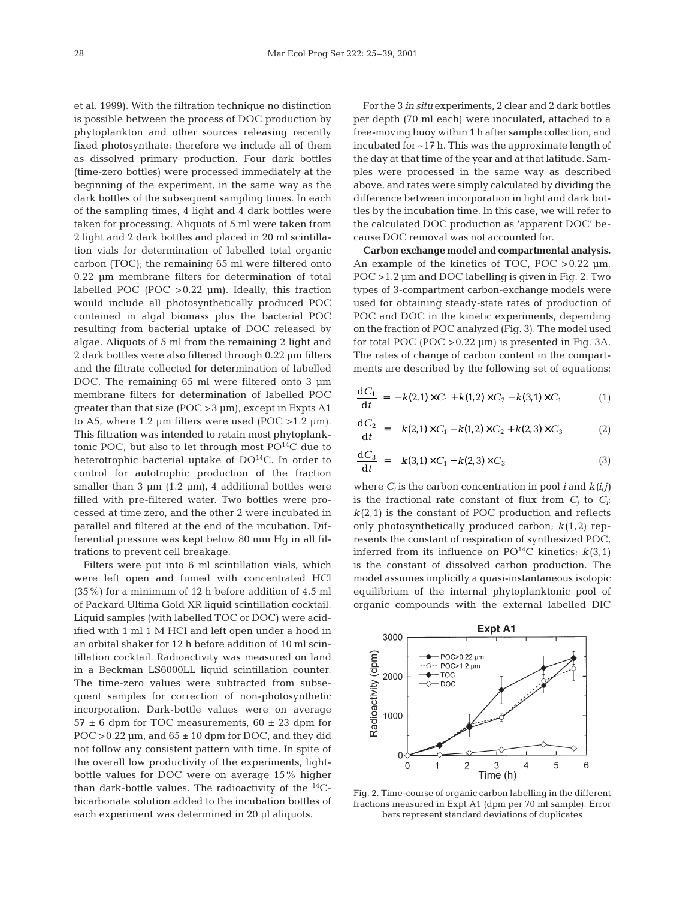et al. 1999). With the filtration technique no distinction is possible between the process of DOC production by phytoplankton and other sources releasing recently fixed photosynthate; therefore we include all of them as dissolved primary production. Four dark bottles (time-zero bottles) were processed immediately at the beginning of the experiment, in the same way as the dark bottles of the subsequent sampling times. In each of the sampling times, 4 light and 4 dark bottles were taken for processing. Aliquots of 5 ml were taken from 2 light and 2 dark bottles and placed in 20 ml scintillation vials for determination of labelled total organic carbon (TOC); the remaining 65 ml were filtered onto 0.22 µm membrane filters for determination of total labelled POC (POC  $>0.22$  µm). Ideally, this fraction would include all photosynthetically produced POC contained in algal biomass plus the bacterial POC resulting from bacterial uptake of DOC released by algae. Aliquots of 5 ml from the remaining 2 light and 2 dark bottles were also filtered through 0.22 µm filters and the filtrate collected for determination of labelled DOC. The remaining 65 ml were filtered onto 3 µm membrane filters for determination of labelled POC qreater than that size  $(POC > 3 \mu m)$ , except in Expts A1 to A5, where 1.2  $\mu$ m filters were used (POC > 1.2  $\mu$ m). This filtration was intended to retain most phytoplanktonic POC, but also to let through most  $PO^{14}C$  due to heterotrophic bacterial uptake of DO<sup>14</sup>C. In order to control for autotrophic production of the fraction smaller than  $3 \mu m$  (1.2  $\mu$ m), 4 additional bottles were filled with pre-filtered water. Two bottles were processed at time zero, and the other 2 were incubated in parallel and filtered at the end of the incubation. Differential pressure was kept below 80 mm Hg in all filtrations to prevent cell breakage.

Filters were put into 6 ml scintillation vials, which were left open and fumed with concentrated HCl (35%) for a minimum of 12 h before addition of 4.5 ml of Packard Ultima Gold XR liquid scintillation cocktail. Liquid samples (with labelled TOC or DOC) were acidified with 1 ml 1 M HCl and left open under a hood in an orbital shaker for 12 h before addition of 10 ml scintillation cocktail. Radioactivity was measured on land in a Beckman LS6000LL liquid scintillation counter. The time-zero values were subtracted from subsequent samples for correction of non-photosynthetic incorporation. Dark-bottle values were on average  $57 \pm 6$  dpm for TOC measurements,  $60 \pm 23$  dpm for POC  $>0.22$  µm, and  $65 \pm 10$  dpm for DOC, and they did not follow any consistent pattern with time. In spite of the overall low productivity of the experiments, lightbottle values for DOC were on average 15% higher than dark-bottle values. The radioactivity of the  $^{14}C$ bicarbonate solution added to the incubation bottles of each experiment was determined in 20 µl aliquots.

For the 3 *in situ* experiments, 2 clear and 2 dark bottles per depth (70 ml each) were inoculated, attached to a free-moving buoy within 1 h after sample collection, and incubated for ~17 h. This was the approximate length of the day at that time of the year and at that latitude. Samples were processed in the same way as described above, and rates were simply calculated by dividing the difference between incorporation in light and dark bottles by the incubation time. In this case, we will refer to the calculated DOC production as 'apparent DOC' because DOC removal was not accounted for.

**Carbon exchange model and compartmental analysis.** An example of the kinetics of TOC, POC > 0.22  $\mu$ m, POC >1.2 µm and DOC labelling is given in Fig. 2. Two types of 3-compartment carbon-exchange models were used for obtaining steady-state rates of production of POC and DOC in the kinetic experiments, depending on the fraction of POC analyzed (Fig. 3). The model used for total POC (POC  $>0.22$  µm) is presented in Fig. 3A. The rates of change of carbon content in the compartments are described by the following set of equations:

$$
\frac{dC_1}{dt} = -k(2,1) \times C_1 + k(1,2) \times C_2 - k(3,1) \times C_1 \tag{1}
$$

$$
\frac{dC_2}{dt} = k(2,1) \times C_1 - k(1,2) \times C_2 + k(2,3) \times C_3 \tag{2}
$$

$$
\frac{dC_3}{dt} = k(3,1) \times C_1 - k(2,3) \times C_3 \tag{3}
$$

where  $C_i$  is the carbon concentration in pool *i* and  $k(i,j)$ is the fractional rate constant of flux from  $C_i$  to  $C_i$ ;  $k(2,1)$  is the constant of POC production and reflects only photosynthetically produced carbon; *k*(1,2) represents the constant of respiration of synthesized POC, inferred from its influence on  $PO^{14}C$  kinetics;  $k(3,1)$ is the constant of dissolved carbon production. The model assumes implicitly a quasi-instantaneous isotopic equilibrium of the internal phytoplanktonic pool of organic compounds with the external labelled DIC



Fig. 2. Time-course of organic carbon labelling in the different fractions measured in Expt A1 (dpm per 70 ml sample). Error bars represent standard deviations of duplicates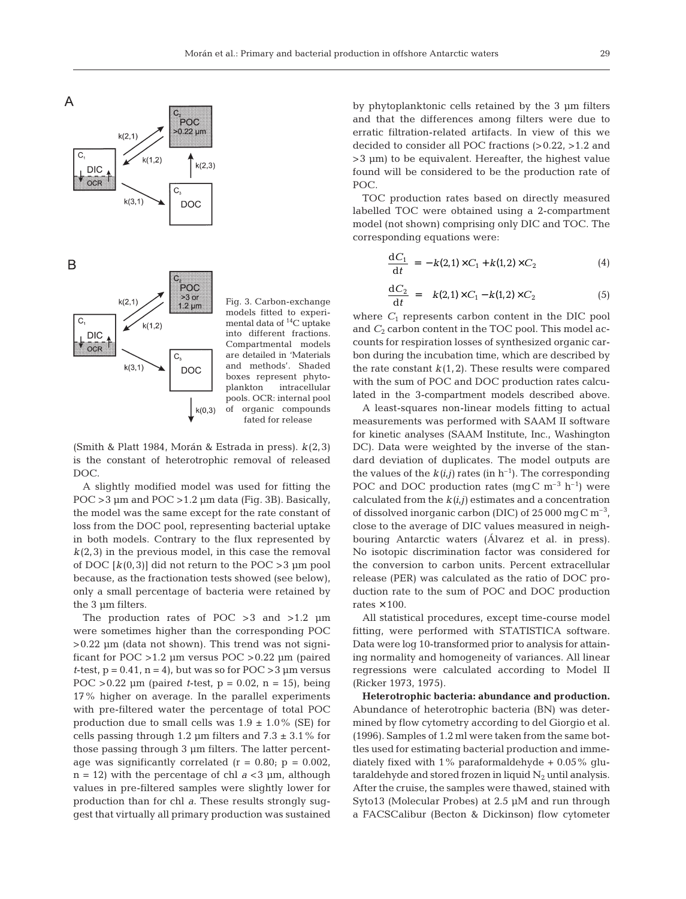

Fig. 3. Carbon-exchange models fitted to experimental data of 14C uptake into different fractions. Compartmental models are detailed in 'Materials and methods'. Shaded boxes represent phytoplankton intracellular pools. OCR: internal pool of organic compounds fated for release

(Smith & Platt 1984, Morán & Estrada in press). *k*(2,3) is the constant of heterotrophic removal of released DOC.

A slightly modified model was used for fitting the POC >3 µm and POC >1.2 µm data (Fig. 3B). Basically, the model was the same except for the rate constant of loss from the DOC pool, representing bacterial uptake in both models. Contrary to the flux represented by  $k(2,3)$  in the previous model, in this case the removal of DOC  $[k(0,3)]$  did not return to the POC > 3 µm pool because, as the fractionation tests showed (see below), only a small percentage of bacteria were retained by the 3 µm filters.

The production rates of POC  $>3$  and  $>1.2$  µm were sometimes higher than the corresponding POC  $>0.22$  µm (data not shown). This trend was not significant for POC >1.2 µm versus POC >0.22 µm (paired *t*-test,  $p = 0.41$ ,  $n = 4$ , but was so for POC > 3  $\mu$ m versus POC  $>0.22$  µm (paired *t*-test,  $p = 0.02$ ,  $n = 15$ ), being 17% higher on average. In the parallel experiments with pre-filtered water the percentage of total POC production due to small cells was  $1.9 \pm 1.0\%$  (SE) for cells passing through 1.2  $\mu$ m filters and 7.3  $\pm$  3.1% for those passing through 3 µm filters. The latter percentage was significantly correlated ( $r = 0.80$ ;  $p = 0.002$ ,  $n = 12$ ) with the percentage of chl  $a < 3$  µm, although values in pre-filtered samples were slightly lower for production than for chl *a*. These results strongly suggest that virtually all primary production was sustained

by phytoplanktonic cells retained by the 3 µm filters and that the differences among filters were due to erratic filtration-related artifacts. In view of this we decided to consider all POC fractions (>0.22, >1.2 and >3 µm) to be equivalent. Hereafter, the highest value found will be considered to be the production rate of POC.

TOC production rates based on directly measured labelled TOC were obtained using a 2-compartment model (not shown) comprising only DIC and TOC. The corresponding equations were:

$$
\frac{dC_1}{dt} = -k(2,1) \times C_1 + k(1,2) \times C_2 \tag{4}
$$

$$
\frac{dC_2}{dt} = k(2,1) \times C_1 - k(1,2) \times C_2 \tag{5}
$$

where  $C_1$  represents carbon content in the DIC pool and  $C_2$  carbon content in the TOC pool. This model accounts for respiration losses of synthesized organic carbon during the incubation time, which are described by the rate constant  $k(1,2)$ . These results were compared with the sum of POC and DOC production rates calculated in the 3-compartment models described above.

A least-squares non-linear models fitting to actual measurements was performed with SAAM II software for kinetic analyses (SAAM Institute, Inc., Washington DC). Data were weighted by the inverse of the standard deviation of duplicates. The model outputs are the values of the  $k(i,j)$  rates (in h<sup>-1</sup>). The corresponding POC and DOC production rates (mgC  $m^{-3}$  h<sup>-1</sup>) were calculated from the  $k(i,j)$  estimates and a concentration of dissolved inorganic carbon (DIC) of  $25000 \,\mathrm{mgC \, m^{-3}}$ , close to the average of DIC values measured in neighbouring Antarctic waters (Álvarez et al. in press). No isotopic discrimination factor was considered for the conversion to carbon units. Percent extracellular release (PER) was calculated as the ratio of DOC production rate to the sum of POC and DOC production rates  $\times$  100.

All statistical procedures, except time-course model fitting, were performed with STATISTICA software. Data were log 10-transformed prior to analysis for attaining normality and homogeneity of variances. All linear regressions were calculated according to Model II (Ricker 1973, 1975).

**Heterotrophic bacteria: abundance and production.** Abundance of heterotrophic bacteria (BN) was determined by flow cytometry according to del Giorgio et al. (1996). Samples of 1.2 ml were taken from the same bottles used for estimating bacterial production and immediately fixed with  $1\%$  paraformaldehyde  $+0.05\%$  glutaraldehyde and stored frozen in liquid  $N_2$  until analysis. After the cruise, the samples were thawed, stained with Syto13 (Molecular Probes) at 2.5 µM and run through a FACSCalibur (Becton & Dickinson) flow cytometer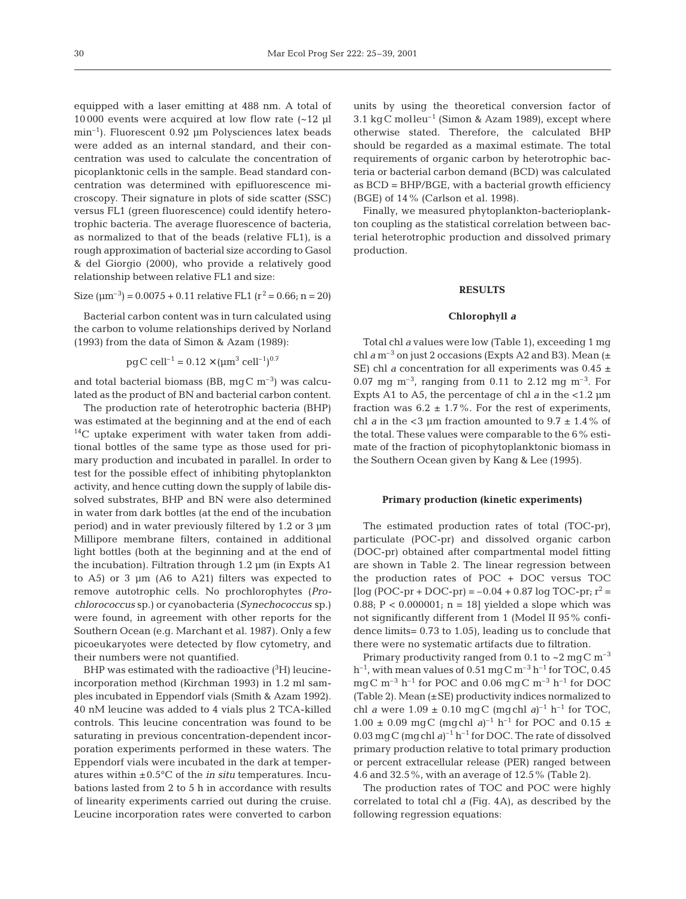equipped with a laser emitting at 488 nm. A total of 10 000 events were acquired at low flow rate (~12 µl  $min^{-1}$ ). Fluorescent 0.92 um Polysciences latex beads were added as an internal standard, and their concentration was used to calculate the concentration of picoplanktonic cells in the sample. Bead standard concentration was determined with epifluorescence microscopy. Their signature in plots of side scatter (SSC) versus FL1 (green fluorescence) could identify heterotrophic bacteria. The average fluorescence of bacteria, as normalized to that of the beads (relative FL1), is a rough approximation of bacterial size according to Gasol & del Giorgio (2000), who provide a relatively good relationship between relative FL1 and size:

Size 
$$
(\mu m^{-3})
$$
 = 0.0075 + 0.11 relative FL1  $(r^2 = 0.66; n = 20)$ 

Bacterial carbon content was in turn calculated using the carbon to volume relationships derived by Norland (1993) from the data of Simon & Azam (1989):

$$
pgC cell^{-1} = 0.12 \times (\mu m^3 cell^{-1})^{0.7}
$$

and total bacterial biomass (BB,  $mqC$  m<sup>-3</sup>) was calculated as the product of BN and bacterial carbon content.

The production rate of heterotrophic bacteria (BHP) was estimated at the beginning and at the end of each  $^{14}$ C uptake experiment with water taken from additional bottles of the same type as those used for primary production and incubated in parallel. In order to test for the possible effect of inhibiting phytoplankton activity, and hence cutting down the supply of labile dissolved substrates, BHP and BN were also determined in water from dark bottles (at the end of the incubation period) and in water previously filtered by 1.2 or 3 µm Millipore membrane filters, contained in additional light bottles (both at the beginning and at the end of the incubation). Filtration through 1.2 µm (in Expts A1 to A5) or 3 µm (A6 to A21) filters was expected to remove autotrophic cells. No prochlorophytes (*Prochlorococcus* sp.) or cyanobacteria (*Synechococcus* sp.) were found, in agreement with other reports for the Southern Ocean (e.g. Marchant et al. 1987). Only a few picoeukaryotes were detected by flow cytometry, and their numbers were not quantified.

BHP was estimated with the radioactive  $(^3\text{H})$  leucineincorporation method (Kirchman 1993) in 1.2 ml samples incubated in Eppendorf vials (Smith & Azam 1992). 40 nM leucine was added to 4 vials plus 2 TCA-killed controls. This leucine concentration was found to be saturating in previous concentration-dependent incorporation experiments performed in these waters. The Eppendorf vials were incubated in the dark at temperatures within ±0.5°C of the *in situ* temperatures. Incubations lasted from 2 to 5 h in accordance with results of linearity experiments carried out during the cruise. Leucine incorporation rates were converted to carbon

units by using the theoretical conversion factor of 3.1 kgC molleu<sup>-1</sup> (Simon & Azam 1989), except where otherwise stated. Therefore, the calculated BHP should be regarded as a maximal estimate. The total requirements of organic carbon by heterotrophic bacteria or bacterial carbon demand (BCD) was calculated as BCD = BHP/BGE, with a bacterial growth efficiency (BGE) of 14% (Carlson et al. 1998).

Finally, we measured phytoplankton-bacterioplankton coupling as the statistical correlation between bacterial heterotrophic production and dissolved primary production.

#### **RESULTS**

## **Chlorophyll** *a*

Total chl *a* values were low (Table 1), exceeding 1 mg chl  $a$  m<sup>-3</sup> on just 2 occasions (Expts A2 and B3). Mean  $(±$ SE) chl *a* concentration for all experiments was  $0.45 \pm$ 0.07 mg  $m^{-3}$ , ranging from 0.11 to 2.12 mg  $m^{-3}$ . For Expts A1 to A5, the percentage of chl *a* in the <1.2  $\mu$ m fraction was  $6.2 \pm 1.7\%$ . For the rest of experiments, chl *a* in the <3 µm fraction amounted to  $9.7 \pm 1.4\%$  of the total. These values were comparable to the 6% estimate of the fraction of picophytoplanktonic biomass in the Southern Ocean given by Kang & Lee (1995).

#### **Primary production (kinetic experiments)**

The estimated production rates of total (TOC-pr), particulate (POC-pr) and dissolved organic carbon (DOC-pr) obtained after compartmental model fitting are shown in Table 2. The linear regression between the production rates of POC + DOC versus TOC  $[log (POC-pr + DOC-pr) = -0.04 + 0.87 log TOC-pr; r<sup>2</sup> =$ 0.88;  $P < 0.000001$ ; n = 18] yielded a slope which was not significantly different from 1 (Model II 95% confidence limits= 0.73 to 1.05), leading us to conclude that there were no systematic artifacts due to filtration.

Primary productivity ranged from 0.1 to  $\sim$  2 mg C m<sup>-3</sup>  $h^{-1}$ , with mean values of 0.51 mgC m<sup>-3</sup> h<sup>-1</sup> for TOC, 0.45 mgC  $m^{-3}$  h<sup>-1</sup> for POC and 0.06 mgC  $m^{-3}$  h<sup>-1</sup> for DOC (Table 2). Mean  $(\pm SE)$  productivity indices normalized to chl *a* were  $1.09 \pm 0.10 \text{ mgC (mgchl } a)^{-1} \text{h}^{-1}$  for TOC, 1.00  $\pm$  0.09 mgC (mgchl *a*)<sup>-1</sup> h<sup>-1</sup> for POC and 0.15  $\pm$ 0.03 mg C (mg chl  $a$ )<sup>-1</sup> h<sup>-1</sup> for DOC. The rate of dissolved primary production relative to total primary production or percent extracellular release (PER) ranged between 4.6 and 32.5%, with an average of 12.5% (Table 2).

The production rates of TOC and POC were highly correlated to total chl *a* (Fig. 4A), as described by the following regression equations: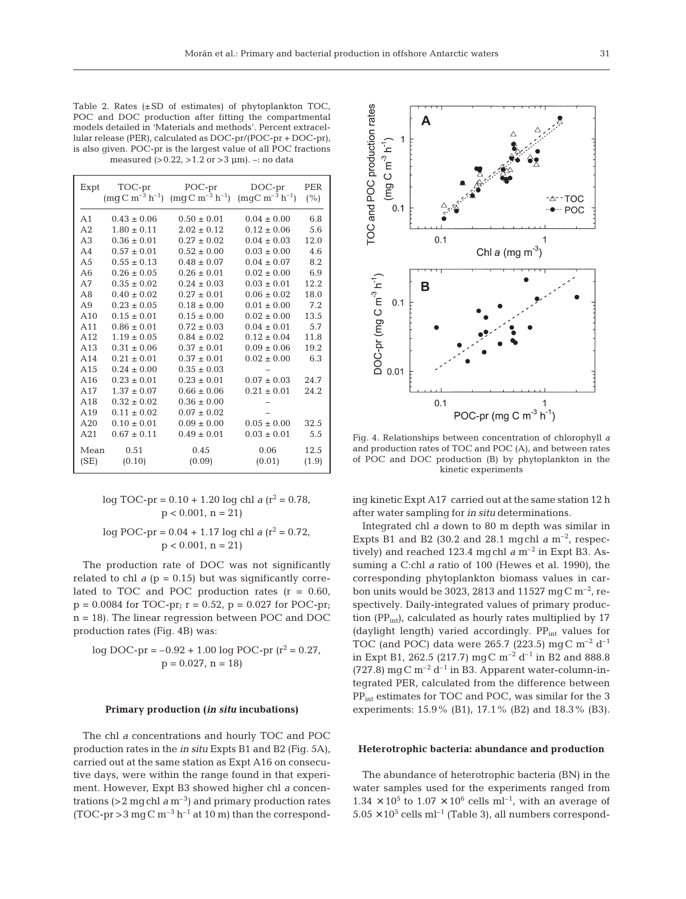Table 2. Rates (±SD of estimates) of phytoplankton TOC, POC and DOC production after fitting the compartmental models detailed in 'Materials and methods'. Percent extracellular release (PER), calculated as DOC-pr/(POC-pr + DOC-pr), is also given. POC-pr is the largest value of all POC fractions measured (>0.22, >1.2 or >3 µm). –: no data

| Expt            | TOC-pr<br>$\rm (mgC \; m^{-3} \; h^{-1})$ | POC-pr<br>$\rm (mqC~m^{-3}~h^{-1})$ | $DOC-pr$<br>$(mgC m^{-3} h^{-1})$ | PER<br>(%) |
|-----------------|-------------------------------------------|-------------------------------------|-----------------------------------|------------|
| A <sub>1</sub>  | $0.43 \pm 0.06$                           | $0.50 \pm 0.01$                     | $0.04 \pm 0.00$                   | 6.8        |
| A2              | $1.80 \pm 0.11$                           | $2.02 \pm 0.12$                     | $0.12 \pm 0.06$                   | 5.6        |
| A <sub>3</sub>  | $0.36 \pm 0.01$                           | $0.27 \pm 0.02$                     | $0.04 \pm 0.03$                   | 12.0       |
| AA              | $0.57 \pm 0.01$                           | $0.52 \pm 0.00$                     | $0.03 \pm 0.00$                   | 4.6        |
| A <sub>5</sub>  | $0.55 \pm 0.13$                           | $0.48 \pm 0.07$                     | $0.04 \pm 0.07$                   | 8.2        |
| A6              | $0.26 \pm 0.05$                           | $0.26 \pm 0.01$                     | $0.02 \pm 0.00$                   | 6.9        |
| A7              | $0.35 \pm 0.02$                           | $0.24 \pm 0.03$                     | $0.03 \pm 0.01$                   | 12.2       |
| A8              | $0.40 \pm 0.02$                           | $0.27 \pm 0.01$                     | $0.06 \pm 0.02$                   | 18.0       |
| A <sub>9</sub>  | $0.23 \pm 0.05$                           | $0.18 \pm 0.00$                     | $0.01 \pm 0.00$                   | 7.2        |
| A10             | $0.15 \pm 0.01$                           | $0.15 \pm 0.00$                     | $0.02 \pm 0.00$                   | 13.5       |
| A <sub>11</sub> | $0.86 \pm 0.01$                           | $0.72 \pm 0.03$                     | $0.04 \pm 0.01$                   | 5.7        |
| A12             | $1.19 \pm 0.05$                           | $0.84 \pm 0.02$                     | $0.12 \pm 0.04$                   | 11.8       |
| A13             | $0.31 \pm 0.06$                           | $0.37 \pm 0.01$                     | $0.09 \pm 0.06$                   | 19.2       |
| A14             | $0.21 \pm 0.01$                           | $0.37 \pm 0.01$                     | $0.02 \pm 0.00$                   | 6.3        |
| A15             | $0.24 \pm 0.00$                           | $0.35 \pm 0.03$                     |                                   |            |
| A16             | $0.23 \pm 0.01$                           | $0.23 \pm 0.01$                     | $0.07 \pm 0.03$                   | 24.7       |
| A17             | $1.37 \pm 0.07$                           | $0.66 \pm 0.06$                     | $0.21 \pm 0.01$                   | 24.2       |
| A18             | $0.32 \pm 0.02$                           | $0.36 \pm 0.00$                     |                                   |            |
| A19             | $0.11 \pm 0.02$                           | $0.07 \pm 0.02$                     |                                   |            |
| A20             | $0.10 \pm 0.01$                           | $0.09 \pm 0.00$                     | $0.05 \pm 0.00$                   | 32.5       |
| A21             | $0.67 \pm 0.11$                           | $0.49 \pm 0.01$                     | $0.03 \pm 0.01$                   | 5.5        |
| Mean            | 0.51                                      | 0.45                                | 0.06                              | 12.5       |
| (SE)            | (0.10)                                    | (0.09)                              | (0.01)                            | (1.9)      |

 $log TOC-pr = 0.10 + 1.20 log chl a (r^2 = 0.78,$  $p < 0.001$ ,  $n = 21$ 

log POC-pr =  $0.04 + 1.17$  log chl *a* ( $r^2 = 0.72$ ,  $p < 0.001$ ,  $n = 21$ 

The production rate of DOC was not significantly related to chl  $a$  ( $p = 0.15$ ) but was significantly correlated to TOC and POC production rates  $(r = 0.60)$ ,  $p = 0.0084$  for TOC-pr;  $r = 0.52$ ,  $p = 0.027$  for POC-pr; n = 18). The linear regression between POC and DOC production rates (Fig. 4B) was:

$$
log \, DOC-pr = -0.92 + 1.00 \, log \, POC-pr \, (r^2 = 0.27, \n p = 0.027, n = 18)
$$

#### **Primary production (***in situ* **incubations)**

The chl *a* concentrations and hourly TOC and POC production rates in the *in situ* Expts B1 and B2 (Fig. 5A), carried out at the same station as Expt A16 on consecutive days, were within the range found in that experiment. However, Expt B3 showed higher chl *a* concentrations  $(>2 \text{ mgchl } a \text{ m}^{-3})$  and primary production rates (TOC-pr  $>$  3 mg C m<sup>-3</sup> h<sup>-1</sup> at 10 m) than the correspond-



Δ

Fig. 4. Relationships between concentration of chlorophyll *a* and production rates of TOC and POC (A), and between rates of POC and DOC production (B) by phytoplankton in the kinetic experiments

ing kinetic Expt A17 carried out at the same station 12 h after water sampling for *in situ* determinations.

Integrated chl *a* down to 80 m depth was similar in Expts B1 and B2 (30.2 and 28.1 mgchl  $a$  m<sup>-2</sup>, respectively) and reached 123.4 mgchl  $a$  m<sup>-2</sup> in Expt B3. Assuming a C:chl *a* ratio of 100 (Hewes et al. 1990), the corresponding phytoplankton biomass values in carbon units would be 3023, 2813 and 11527 mgC  $m^{-2}$ , respectively. Daily-integrated values of primary production (PP<sub>int</sub>), calculated as hourly rates multiplied by  $17$ (daylight length) varied accordingly.  $PP_{int}$  values for TOC (and POC) data were 265.7 (223.5) mgC m<sup>-2</sup> d<sup>-1</sup> in Expt B1, 262.5 (217.7) mg C m<sup>-2</sup> d<sup>-1</sup> in B2 and 888.8 (727.8) mg C m<sup>-2</sup> d<sup>-1</sup> in B3. Apparent water-column-integrated PER, calculated from the difference between PP<sub>int</sub> estimates for TOC and POC, was similar for the 3 experiments: 15.9% (B1), 17.1% (B2) and 18.3% (B3).

## **Heterotrophic bacteria: abundance and production**

The abundance of heterotrophic bacteria (BN) in the water samples used for the experiments ranged from  $1.34 \times 10^5$  to  $1.07 \times 10^6$  cells ml<sup>-1</sup>, with an average of  $5.05 \times 10^5$  cells ml<sup>-1</sup> (Table 3), all numbers correspond-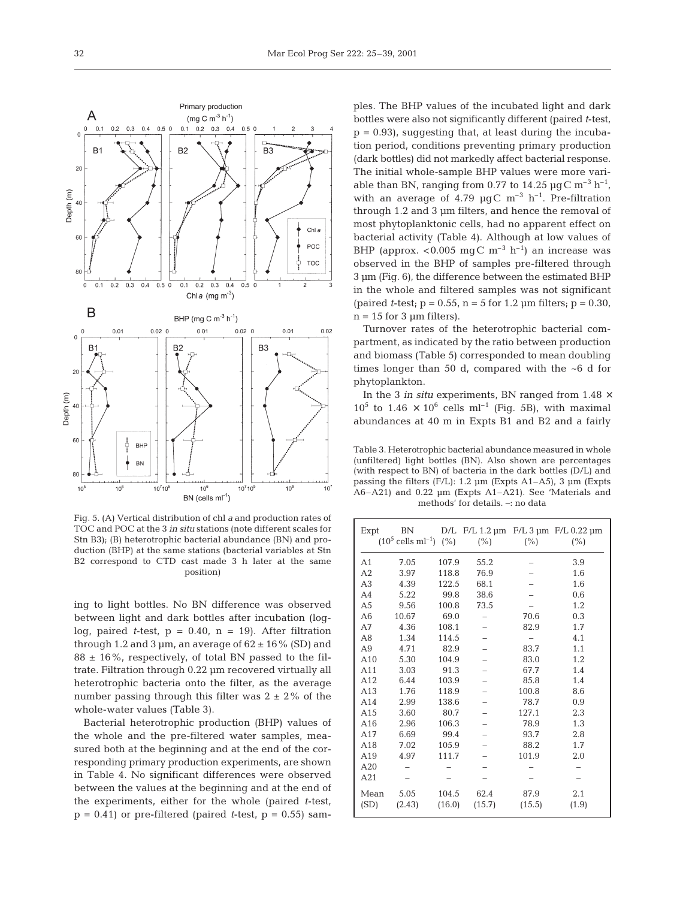

Fig. 5. (A) Vertical distribution of chl *a* and production rates of TOC and POC at the 3 *in situ* stations (note different scales for Stn B3); (B) heterotrophic bacterial abundance (BN) and production (BHP) at the same stations (bacterial variables at Stn B2 correspond to CTD cast made 3 h later at the same position)

ing to light bottles. No BN difference was observed between light and dark bottles after incubation (loglog, paired *t*-test,  $p = 0.40$ ,  $n = 19$ . After filtration through 1.2 and 3  $\mu$ m, an average of 62  $\pm$  16% (SD) and  $88 \pm 16\%$ , respectively, of total BN passed to the filtrate. Filtration through 0.22 µm recovered virtually all heterotrophic bacteria onto the filter, as the average number passing through this filter was  $2 \pm 2\%$  of the whole-water values (Table 3).

Bacterial heterotrophic production (BHP) values of the whole and the pre-filtered water samples, measured both at the beginning and at the end of the corresponding primary production experiments, are shown in Table 4. No significant differences were observed between the values at the beginning and at the end of the experiments, either for the whole (paired *t*-test,  $p = 0.41$ ) or pre-filtered (paired *t*-test,  $p = 0.55$ ) sam-

ples. The BHP values of the incubated light and dark bottles were also not significantly different (paired *t*-test,  $p = 0.93$ , suggesting that, at least during the incubation period, conditions preventing primary production (dark bottles) did not markedly affect bacterial response. The initial whole-sample BHP values were more variable than BN, ranging from 0.77 to 14.25  $\mu$ gC m<sup>-3</sup> h<sup>-1</sup>, with an average of 4.79  $\mu$ gC m<sup>-3</sup> h<sup>-1</sup>. Pre-filtration through 1.2 and 3 µm filters, and hence the removal of most phytoplanktonic cells, had no apparent effect on bacterial activity (Table 4). Although at low values of BHP (approx.  $< 0.005$  mgC m<sup>-3</sup> h<sup>-1</sup>) an increase was observed in the BHP of samples pre-filtered through 3 µm (Fig. 6), the difference between the estimated BHP in the whole and filtered samples was not significant (paired *t*-test;  $p = 0.55$ ,  $n = 5$  for 1.2  $\mu$ m filters;  $p = 0.30$ ,  $n = 15$  for 3  $\mu$ m filters).

Turnover rates of the heterotrophic bacterial compartment, as indicated by the ratio between production and biomass (Table 5) corresponded to mean doubling times longer than 50 d, compared with the ~6 d for phytoplankton.

In the 3 *in situ* experiments, BN ranged from  $1.48 \times$  $10^5$  to  $1.46 \times 10^6$  cells ml<sup>-1</sup> (Fig. 5B), with maximal abundances at 40 m in Expts B1 and B2 and a fairly

Table 3. Heterotrophic bacterial abundance measured in whole (unfiltered) light bottles (BN). Also shown are percentages (with respect to BN) of bacteria in the dark bottles (D/L) and passing the filters  $(F/L)$ : 1.2 µm (Expts A1–A5), 3 µm (Expts A6–A21) and 0.22 µm (Expts A1–A21). See 'Materials and methods' for details. –: no data

| Expt           | BN<br>$(10^5 \text{ cells ml}^{-1})$ $(\%)$ |        | $(\% )$ | $(\% )$ | D/L F/L 1.2 µm F/L 3 µm F/L 0.22 µm<br>$(\%)$ |
|----------------|---------------------------------------------|--------|---------|---------|-----------------------------------------------|
| A1             | 7.05                                        | 107.9  | 55.2    |         | 3.9                                           |
| A <sub>2</sub> | 3.97                                        | 118.8  | 76.9    |         | 1.6                                           |
| A <sub>3</sub> | 4.39                                        | 122.5  | 68.1    |         | 1.6                                           |
| A <sub>4</sub> | 5.22                                        | 99.8   | 38.6    |         | 0.6                                           |
| A <sub>5</sub> | 9.56                                        | 100.8  | 73.5    |         | 1.2                                           |
| A6             | 10.67                                       | 69.0   |         | 70.6    | 0.3                                           |
| A7             | 4.36                                        | 108.1  |         | 82.9    | 1.7                                           |
| A8             | 1.34                                        | 114.5  |         |         | 4.1                                           |
| A <sub>9</sub> | 4.71                                        | 82.9   |         | 83.7    | 1.1                                           |
| A10            | 5.30                                        | 104.9  |         | 83.0    | 1.2                                           |
| A11            | 3.03                                        | 91.3   |         | 67.7    | 1.4                                           |
| A12            | 6.44                                        | 103.9  |         | 85.8    | 1.4                                           |
| A13            | 1.76                                        | 118.9  |         | 100.8   | 8.6                                           |
| A14            | 2.99                                        | 138.6  |         | 78.7    | 0.9                                           |
| A15            | 3.60                                        | 80.7   |         | 127.1   | 2.3                                           |
| A16            | 2.96                                        | 106.3  |         | 78.9    | 1.3                                           |
| A17            | 6.69                                        | 99.4   |         | 93.7    | 2.8                                           |
| A18            | 7.02                                        | 105.9  |         | 88.2    | 1.7                                           |
| A19            | 4.97                                        | 111.7  |         | 101.9   | 2.0                                           |
| A20            |                                             |        |         |         |                                               |
| A21            |                                             |        |         |         |                                               |
| Mean           | 5.05                                        | 104.5  | 62.4    | 87.9    | 2.1                                           |
| (SD)           | (2.43)                                      | (16.0) | (15.7)  | (15.5)  | (1.9)                                         |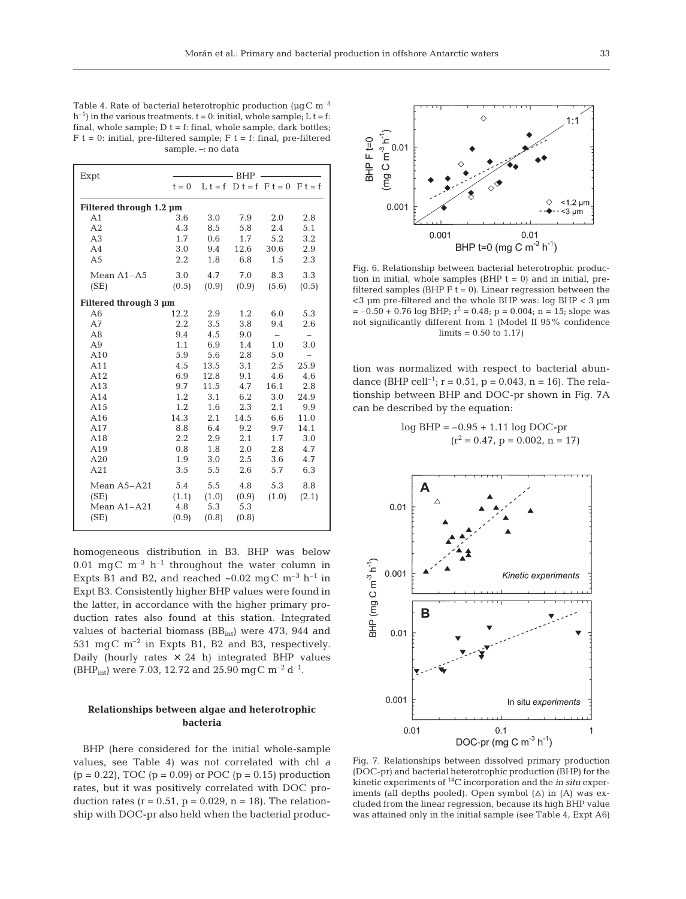Table 4. Rate of bacterial heterotrophic production ( $\mu$ gC m<sup>-3</sup>  $h^{-1}$ ) in the various treatments.  $t = 0$ : initial, whole sample; L  $t = f$ : final, whole sample;  $D t = f$ : final, whole sample, dark bottles;  $F t = 0$ : initial, pre-filtered sample;  $F t = f$ : final, pre-filtered sample. –: no data

| Expt                    | - BHP   |       |       |                                   |                          |  |  |
|-------------------------|---------|-------|-------|-----------------------------------|--------------------------|--|--|
|                         | $t = 0$ |       |       | $L t = f D t = f F t = 0 F t = f$ |                          |  |  |
| Filtered through 1.2 µm |         |       |       |                                   |                          |  |  |
| A1                      | 3.6     | 3.0   | 7.9   | 2.0                               | 2.8                      |  |  |
| A <sub>2</sub>          | 4.3     | 8.5   | 5.8   | 2.4                               | 5.1                      |  |  |
| A <sub>3</sub>          | 1.7     | 0.6   | 1.7   | 5.2                               | 3.2                      |  |  |
| A <sub>4</sub>          | 3.0     | 9.4   | 12.6  | 30.6                              | 2.9                      |  |  |
| A <sub>5</sub>          | 2.2     | 1.8   | 6.8   | 1.5                               | 2.3                      |  |  |
| Mean $A1 - A5$          | 3.0     | 4.7   | 7.0   | 8.3                               | 3.3                      |  |  |
| (SE)                    | (0.5)   | (0.9) | (0.9) | (5.6)                             | (0.5)                    |  |  |
| Filtered through 3 µm   |         |       |       |                                   |                          |  |  |
| A6                      | 12.2    | 2.9   | 1.2   | 6.0                               | 5.3                      |  |  |
| A7                      | 2.2     | 3.5   | 3.8   | 9.4                               | 2.6                      |  |  |
| A8                      | 9.4     | 4.5   | 9.0   | $\overline{\phantom{0}}$          | $\overline{\phantom{0}}$ |  |  |
| A9                      | 1.1     | 6.9   | 1.4   | 1.0                               | 3.0                      |  |  |
| A10                     | 5.9     | 5.6   | 2.8   | 5.0                               | $\overline{\phantom{0}}$ |  |  |
| A11                     | 4.5     | 13.5  | 3.1   | 2.5                               | 25.9                     |  |  |
| A12                     | 6.9     | 12.8  | 9.1   | 4.6                               | 4.6                      |  |  |
| A13                     | 9.7     | 11.5  | 4.7   | 16.1                              | 2.8                      |  |  |
| A14                     | 1.2     | 3.1   | 6.2   | 3.0                               | 24.9                     |  |  |
| A15                     | 1.2     | 1.6   | 2.3   | 2.1                               | 9.9                      |  |  |
| A16                     | 14.3    | 2.1   | 14.5  | 6.6                               | 11.0                     |  |  |
| A17                     | 8.8     | 6.4   | 9.2   | 9.7                               | 14.1                     |  |  |
| A18                     | 2.2     | 2.9   | 2.1   | 1.7                               | 3.0                      |  |  |
| A19                     | 0.8     | 1.8   | 2.0   | 2.8                               | 4.7                      |  |  |
| A20                     | 1.9     | 3.0   | 2.5   | 3.6                               | 4.7                      |  |  |
| A21                     | 3.5     | 5.5   | 2.6   | 5.7                               | 6.3                      |  |  |
| Mean A5-A21             | 5.4     | 5.5   | 4.8   | 5.3                               | 8.8                      |  |  |
| (SE)                    | (1.1)   | (1.0) | (0.9) | (1.0)                             | (2.1)                    |  |  |
| Mean A1-A21             | 4.8     | 5.3   | 5.3   |                                   |                          |  |  |
| (SE)                    | (0.9)   | (0.8) | (0.8) |                                   |                          |  |  |

homogeneous distribution in B3. BHP was below 0.01 mgC  $m^{-3}$  h<sup>-1</sup> throughout the water column in Expts B1 and B2, and reached  $\sim 0.02$  mgC m<sup>-3</sup> h<sup>-1</sup> in Expt B3. Consistently higher BHP values were found in the latter, in accordance with the higher primary production rates also found at this station. Integrated values of bacterial biomass  $(BB<sub>int</sub>)$  were 473, 944 and 531 mgC m–2 in Expts B1, B2 and B3, respectively. Daily (hourly rates  $\times$  24 h) integrated BHP values (BHP<sub>int</sub>) were 7.03, 12.72 and 25.90 mgC m<sup>-2</sup> d<sup>-1</sup>.

## **Relationships between algae and heterotrophic bacteria**

BHP (here considered for the initial whole-sample values, see Table 4) was not correlated with chl *a*  $(p = 0.22)$ , TOC  $(p = 0.09)$  or POC  $(p = 0.15)$  production rates, but it was positively correlated with DOC production rates ( $r = 0.51$ ,  $p = 0.029$ ,  $n = 18$ ). The relationship with DOC-pr also held when the bacterial produc-



Fig. 6. Relationship between bacterial heterotrophic production in initial, whole samples  $(BHP t = 0)$  and in initial, prefiltered samples (BHP  $F$  t = 0). Linear regression between the <3 µm pre-filtered and the whole BHP was: log BHP < 3 µm  $= -0.50 + 0.76$  log BHP;  $r^2 = 0.48$ ;  $p = 0.004$ ;  $n = 15$ ; slope was not significantly different from 1 (Model II 95% confidence  $\text{limits} = 0.50 \text{ to } 1.17$ 

tion was normalized with respect to bacterial abundance (BHP cell<sup>-1</sup>; r = 0.51, p = 0.043, n = 16). The relationship between BHP and DOC-pr shown in Fig. 7A can be described by the equation:

$$
log BHP = -0.95 + 1.11 log DOC-pr
$$

$$
(r^2 = 0.47, p = 0.002, n = 17)
$$



Fig. 7. Relationships between dissolved primary production (DOC-pr) and bacterial heterotrophic production (BHP) for the kinetic experiments of 14C incorporation and the *in situ* experiments (all depths pooled). Open symbol  $(\Delta)$  in  $(A)$  was excluded from the linear regression, because its high BHP value was attained only in the initial sample (see Table 4, Expt A6)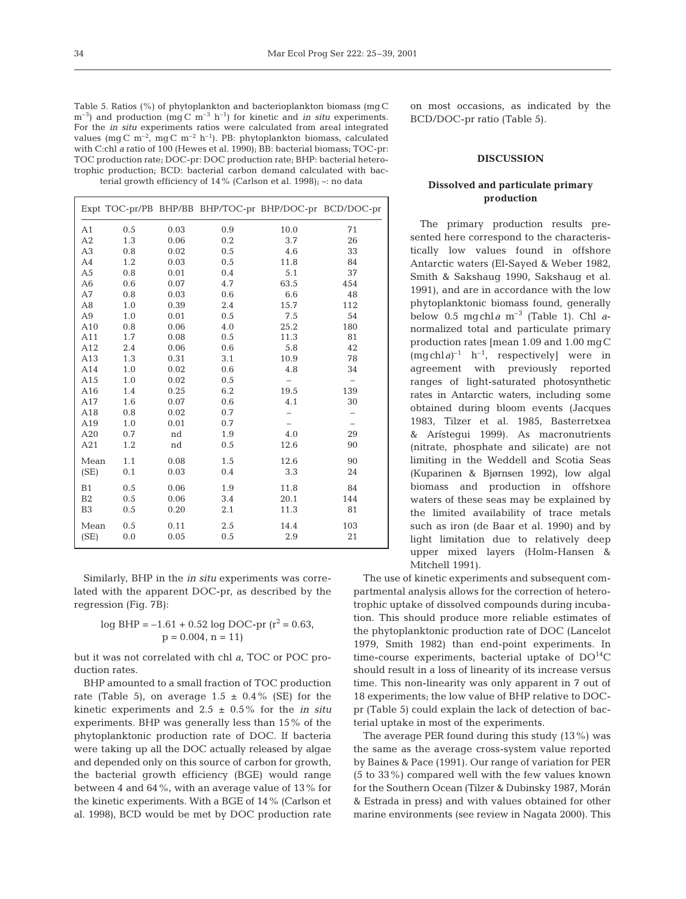Table 5. Ratios (%) of phytoplankton and bacterioplankton biomass (mg C  $\text{m}^{-3}$ ) and production (mg C  $\text{m}^{-3}$  h<sup>-1</sup>) for kinetic and *in situ* experiments. For the *in situ* experiments ratios were calculated from areal integrated values (mg C m<sup>-2</sup>, mg C m<sup>-2</sup> h<sup>-1</sup>). PB: phytoplankton biomass, calculated with C:chl *a* ratio of 100 (Hewes et al. 1990); BB: bacterial biomass; TOC-pr: TOC production rate; DOC-pr: DOC production rate; BHP: bacterial heterotrophic production; BCD: bacterial carbon demand calculated with bacterial growth efficiency of 14% (Carlson et al. 1998); –: no data

|                |     |      |     |      | Expt TOC-pr/PB BHP/BB BHP/TOC-pr BHP/DOC-pr BCD/DOC-pr |
|----------------|-----|------|-----|------|--------------------------------------------------------|
| A <sub>1</sub> | 0.5 | 0.03 | 0.9 | 10.0 | 71                                                     |
| A2             | 1.3 | 0.06 | 0.2 | 3.7  | 26                                                     |
| A <sub>3</sub> | 0.8 | 0.02 | 0.5 | 4.6  | 33                                                     |
| A4             | 1.2 | 0.03 | 0.5 | 11.8 | 84                                                     |
| A <sub>5</sub> | 0.8 | 0.01 | 0.4 | 5.1  | 37                                                     |
| A <sub>6</sub> | 0.6 | 0.07 | 4.7 | 63.5 | 454                                                    |
| A7             | 0.8 | 0.03 | 0.6 | 6.6  | 48                                                     |
| A <sub>8</sub> | 1.0 | 0.39 | 2.4 | 15.7 | 112                                                    |
| A <sub>9</sub> | 1.0 | 0.01 | 0.5 | 7.5  | 54                                                     |
| A10            | 0.8 | 0.06 | 4.0 | 25.2 | 180                                                    |
| A11            | 1.7 | 0.08 | 0.5 | 11.3 | 81                                                     |
| A12            | 2.4 | 0.06 | 0.6 | 5.8  | 42                                                     |
| A13            | 1.3 | 0.31 | 3.1 | 10.9 | 78                                                     |
| A14            | 1.0 | 0.02 | 0.6 | 4.8  | 34                                                     |
| A15            | 1.0 | 0.02 | 0.5 |      |                                                        |
| A16            | 1.4 | 0.25 | 6.2 | 19.5 | 139                                                    |
| A17            | 1.6 | 0.07 | 0.6 | 4.1  | 30                                                     |
| A18            | 0.8 | 0.02 | 0.7 |      | -                                                      |
| A19            | 1.0 | 0.01 | 0.7 |      | $\overline{\phantom{0}}$                               |
| A20            | 0.7 | nd   | 1.9 | 4.0  | 29                                                     |
| A21            | 1.2 | nd   | 0.5 | 12.6 | 90                                                     |
| Mean           | 1.1 | 0.08 | 1.5 | 12.6 | 90                                                     |
| (SE)           | 0.1 | 0.03 | 0.4 | 3.3  | 24                                                     |
| B1             | 0.5 | 0.06 | 1.9 | 11.8 | 84                                                     |
| B <sub>2</sub> | 0.5 | 0.06 | 3.4 | 20.1 | 144                                                    |
| B <sub>3</sub> | 0.5 | 0.20 | 2.1 | 11.3 | 81                                                     |
| Mean           | 0.5 | 0.11 | 2.5 | 14.4 | 103                                                    |
| (SE)           | 0.0 | 0.05 | 0.5 | 2.9  | 21                                                     |
|                |     |      |     |      |                                                        |

Similarly, BHP in the *in situ* experiments was correlated with the apparent DOC-pr, as described by the regression (Fig. 7B):

$$
log BHP = -1.61 + 0.52 log DOC-pr (r2 = 0.63, \n p = 0.004, n = 11)
$$

but it was not correlated with chl *a*, TOC or POC production rates.

BHP amounted to a small fraction of TOC production rate (Table 5), on average  $1.5 \pm 0.4\%$  (SE) for the kinetic experiments and 2.5 ± 0.5% for the *in situ* experiments. BHP was generally less than 15% of the phytoplanktonic production rate of DOC. If bacteria were taking up all the DOC actually released by algae and depended only on this source of carbon for growth, the bacterial growth efficiency (BGE) would range between 4 and 64%, with an average value of 13% for the kinetic experiments. With a BGE of 14% (Carlson et al. 1998), BCD would be met by DOC production rate

on most occasions, as indicated by the BCD/DOC-pr ratio (Table 5).

# **DISCUSSION**

# **Dissolved and particulate primary production**

The primary production results presented here correspond to the characteristically low values found in offshore Antarctic waters (El-Sayed & Weber 1982, Smith & Sakshaug 1990, Sakshaug et al. 1991), and are in accordance with the low phytoplanktonic biomass found, generally below 0.5 mgchl*a* m–3 (Table 1). Chl *a*normalized total and particulate primary production rates [mean 1.09 and 1.00 mgC (mgchl*a)*–1 h–1, respectively] were in agreement with previously reported ranges of light-saturated photosynthetic rates in Antarctic waters, including some obtained during bloom events (Jacques 1983, Tilzer et al. 1985, Basterretxea & Arístegui 1999). As macronutrients (nitrate, phosphate and silicate) are not limiting in the Weddell and Scotia Seas (Kuparinen & Bjørnsen 1992), low algal biomass and production in offshore waters of these seas may be explained by the limited availability of trace metals such as iron (de Baar et al. 1990) and by light limitation due to relatively deep upper mixed layers (Holm-Hansen & Mitchell 1991).

The use of kinetic experiments and subsequent compartmental analysis allows for the correction of heterotrophic uptake of dissolved compounds during incubation. This should produce more reliable estimates of the phytoplanktonic production rate of DOC (Lancelot 1979, Smith 1982) than end-point experiments. In time-course experiments, bacterial uptake of  $DO<sup>14</sup>C$ should result in a loss of linearity of its increase versus time. This non-linearity was only apparent in 7 out of 18 experiments; the low value of BHP relative to DOCpr (Table 5) could explain the lack of detection of bacterial uptake in most of the experiments.

The average PER found during this study (13%) was the same as the average cross-system value reported by Baines & Pace (1991). Our range of variation for PER (5 to 33%) compared well with the few values known for the Southern Ocean (Tilzer & Dubinsky 1987, Morán & Estrada in press) and with values obtained for other marine environments (see review in Nagata 2000). This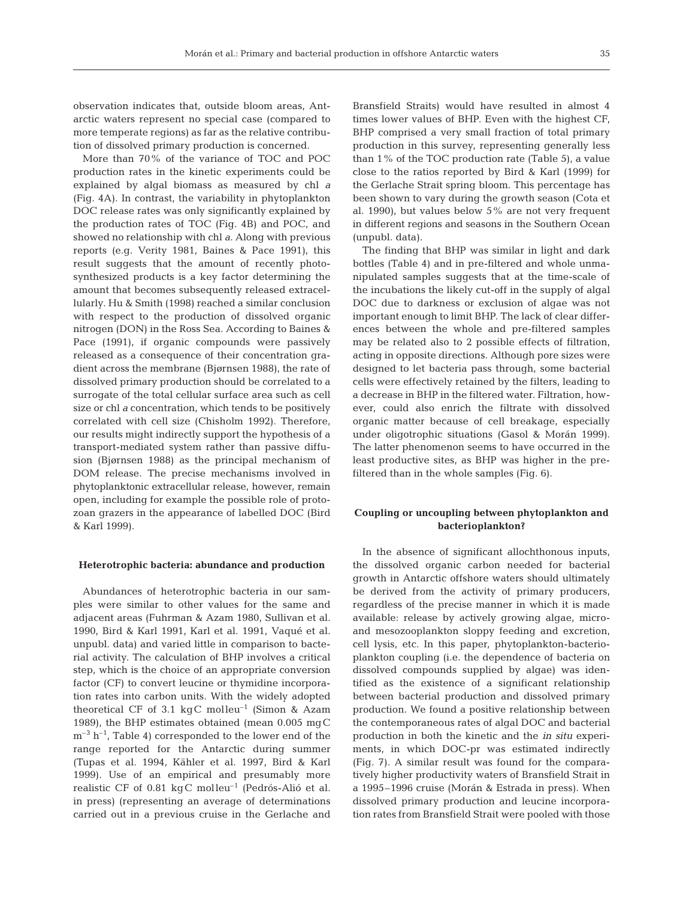observation indicates that, outside bloom areas, Antarctic waters represent no special case (compared to more temperate regions) as far as the relative contribution of dissolved primary production is concerned.

More than 70% of the variance of TOC and POC production rates in the kinetic experiments could be explained by algal biomass as measured by chl *a* (Fig. 4A). In contrast, the variability in phytoplankton DOC release rates was only significantly explained by the production rates of TOC (Fig. 4B) and POC, and showed no relationship with chl *a*. Along with previous reports (e.g. Verity 1981, Baines & Pace 1991), this result suggests that the amount of recently photosynthesized products is a key factor determining the amount that becomes subsequently released extracellularly. Hu & Smith (1998) reached a similar conclusion with respect to the production of dissolved organic nitrogen (DON) in the Ross Sea. According to Baines & Pace (1991), if organic compounds were passively released as a consequence of their concentration gradient across the membrane (Bjørnsen 1988), the rate of dissolved primary production should be correlated to a surrogate of the total cellular surface area such as cell size or chl *a* concentration, which tends to be positively correlated with cell size (Chisholm 1992). Therefore, our results might indirectly support the hypothesis of a transport-mediated system rather than passive diffusion (Bjørnsen 1988) as the principal mechanism of DOM release. The precise mechanisms involved in phytoplanktonic extracellular release, however, remain open, including for example the possible role of protozoan grazers in the appearance of labelled DOC (Bird & Karl 1999).

#### **Heterotrophic bacteria: abundance and production**

Abundances of heterotrophic bacteria in our samples were similar to other values for the same and adjacent areas (Fuhrman & Azam 1980, Sullivan et al. 1990, Bird & Karl 1991, Karl et al. 1991, Vaqué et al. unpubl. data) and varied little in comparison to bacterial activity. The calculation of BHP involves a critical step, which is the choice of an appropriate conversion factor (CF) to convert leucine or thymidine incorporation rates into carbon units. With the widely adopted theoretical CF of 3.1 kgC molleu<sup>-1</sup> (Simon & Azam 1989), the BHP estimates obtained (mean 0.005 mgC  $m^{-3}$  h<sup>-1</sup>, Table 4) corresponded to the lower end of the range reported for the Antarctic during summer (Tupas et al. 1994, Kähler et al. 1997, Bird & Karl 1999). Use of an empirical and presumably more realistic CF of 0.81 kgC molleu–1 (Pedrós-Alió et al. in press) (representing an average of determinations carried out in a previous cruise in the Gerlache and

Bransfield Straits) would have resulted in almost 4 times lower values of BHP. Even with the highest CF, BHP comprised a very small fraction of total primary production in this survey, representing generally less than 1% of the TOC production rate (Table 5), a value close to the ratios reported by Bird & Karl (1999) for the Gerlache Strait spring bloom. This percentage has been shown to vary during the growth season (Cota et al. 1990), but values below 5% are not very frequent in different regions and seasons in the Southern Ocean (unpubl. data).

The finding that BHP was similar in light and dark bottles (Table 4) and in pre-filtered and whole unmanipulated samples suggests that at the time-scale of the incubations the likely cut-off in the supply of algal DOC due to darkness or exclusion of algae was not important enough to limit BHP. The lack of clear differences between the whole and pre-filtered samples may be related also to 2 possible effects of filtration, acting in opposite directions. Although pore sizes were designed to let bacteria pass through, some bacterial cells were effectively retained by the filters, leading to a decrease in BHP in the filtered water. Filtration, however, could also enrich the filtrate with dissolved organic matter because of cell breakage, especially under oligotrophic situations (Gasol & Morán 1999). The latter phenomenon seems to have occurred in the least productive sites, as BHP was higher in the prefiltered than in the whole samples (Fig. 6).

# **Coupling or uncoupling between phytoplankton and bacterioplankton?**

In the absence of significant allochthonous inputs, the dissolved organic carbon needed for bacterial growth in Antarctic offshore waters should ultimately be derived from the activity of primary producers, regardless of the precise manner in which it is made available: release by actively growing algae, microand mesozooplankton sloppy feeding and excretion, cell lysis, etc. In this paper, phytoplankton-bacterioplankton coupling (i.e. the dependence of bacteria on dissolved compounds supplied by algae) was identified as the existence of a significant relationship between bacterial production and dissolved primary production. We found a positive relationship between the contemporaneous rates of algal DOC and bacterial production in both the kinetic and the *in situ* experiments, in which DOC-pr was estimated indirectly (Fig. 7). A similar result was found for the comparatively higher productivity waters of Bransfield Strait in a 1995–1996 cruise (Morán & Estrada in press). When dissolved primary production and leucine incorporation rates from Bransfield Strait were pooled with those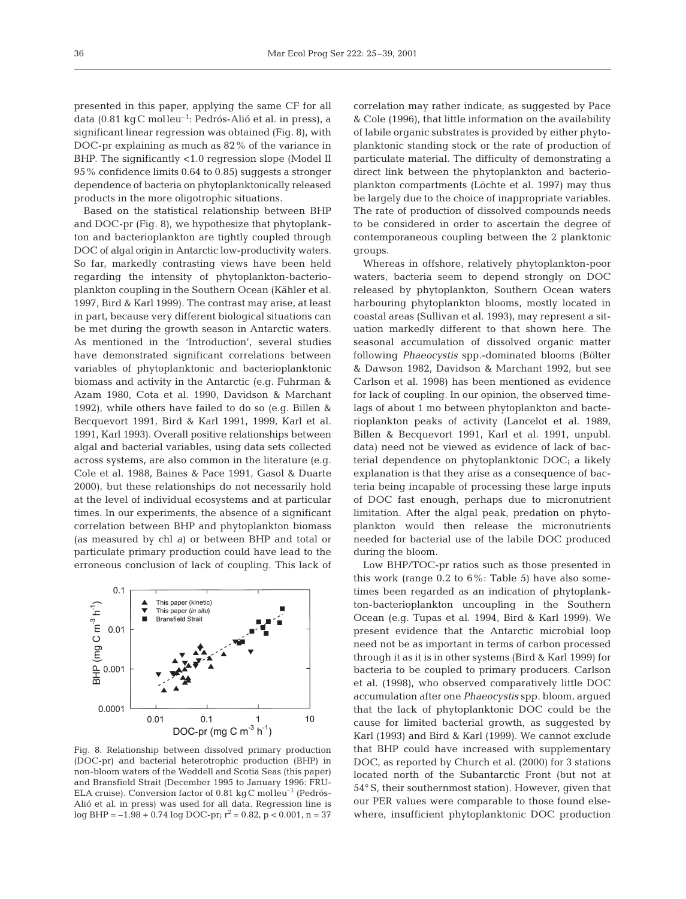presented in this paper, applying the same CF for all data (0.81 kgC molleu–1: Pedrós-Alió et al. in press), a significant linear regression was obtained (Fig. 8), with DOC-pr explaining as much as 82% of the variance in BHP. The significantly <1.0 regression slope (Model II 95% confidence limits 0.64 to 0.85) suggests a stronger dependence of bacteria on phytoplanktonically released products in the more oligotrophic situations.

Based on the statistical relationship between BHP and DOC-pr (Fig. 8), we hypothesize that phytoplankton and bacterioplankton are tightly coupled through DOC of algal origin in Antarctic low-productivity waters. So far, markedly contrasting views have been held regarding the intensity of phytoplankton-bacterioplankton coupling in the Southern Ocean (Kähler et al. 1997, Bird & Karl 1999). The contrast may arise, at least in part, because very different biological situations can be met during the growth season in Antarctic waters. As mentioned in the 'Introduction', several studies have demonstrated significant correlations between variables of phytoplanktonic and bacterioplanktonic biomass and activity in the Antarctic (e.g. Fuhrman & Azam 1980, Cota et al. 1990, Davidson & Marchant 1992), while others have failed to do so (e.g. Billen & Becquevort 1991, Bird & Karl 1991, 1999, Karl et al. 1991, Karl 1993). Overall positive relationships between algal and bacterial variables, using data sets collected across systems, are also common in the literature (e.g. Cole et al. 1988, Baines & Pace 1991, Gasol & Duarte 2000), but these relationships do not necessarily hold at the level of individual ecosystems and at particular times. In our experiments, the absence of a significant correlation between BHP and phytoplankton biomass (as measured by chl *a*) or between BHP and total or particulate primary production could have lead to the erroneous conclusion of lack of coupling. This lack of



Fig. 8. Relationship between dissolved primary production (DOC-pr) and bacterial heterotrophic production (BHP) in non-bloom waters of the Weddell and Scotia Seas (this paper) and Bransfield Strait (December 1995 to January 1996: FRU-ELA cruise). Conversion factor of 0.81 kgC molleu–1 (Pedrós-Alió et al. in press) was used for all data. Regression line is log BHP =  $-1.98 + 0.74$  log DOC-pr;  $r^2 = 0.82$ , p < 0.001, n = 37

correlation may rather indicate, as suggested by Pace & Cole (1996), that little information on the availability of labile organic substrates is provided by either phytoplanktonic standing stock or the rate of production of particulate material. The difficulty of demonstrating a direct link between the phytoplankton and bacterioplankton compartments (Löchte et al. 1997) may thus be largely due to the choice of inappropriate variables. The rate of production of dissolved compounds needs to be considered in order to ascertain the degree of contemporaneous coupling between the 2 planktonic groups.

Whereas in offshore, relatively phytoplankton-poor waters, bacteria seem to depend strongly on DOC released by phytoplankton, Southern Ocean waters harbouring phytoplankton blooms, mostly located in coastal areas (Sullivan et al. 1993), may represent a situation markedly different to that shown here. The seasonal accumulation of dissolved organic matter following *Phaeocystis* spp.-dominated blooms (Bölter & Dawson 1982, Davidson & Marchant 1992, but see Carlson et al. 1998) has been mentioned as evidence for lack of coupling. In our opinion, the observed timelags of about 1 mo between phytoplankton and bacterioplankton peaks of activity (Lancelot et al. 1989, Billen & Becquevort 1991, Karl et al. 1991, unpubl. data) need not be viewed as evidence of lack of bacterial dependence on phytoplanktonic DOC; a likely explanation is that they arise as a consequence of bacteria being incapable of processing these large inputs of DOC fast enough, perhaps due to micronutrient limitation. After the algal peak, predation on phytoplankton would then release the micronutrients needed for bacterial use of the labile DOC produced during the bloom.

Low BHP/TOC-pr ratios such as those presented in this work (range  $0.2$  to  $6\%$ : Table 5) have also sometimes been regarded as an indication of phytoplankton-bacterioplankton uncoupling in the Southern Ocean (e.g. Tupas et al. 1994, Bird & Karl 1999). We present evidence that the Antarctic microbial loop need not be as important in terms of carbon processed through it as it is in other systems (Bird & Karl 1999) for bacteria to be coupled to primary producers. Carlson et al. (1998), who observed comparatively little DOC accumulation after one *Phaeocystis* spp. bloom, argued that the lack of phytoplanktonic DOC could be the cause for limited bacterial growth, as suggested by Karl (1993) and Bird & Karl (1999). We cannot exclude that BHP could have increased with supplementary DOC, as reported by Church et al. (2000) for 3 stations located north of the Subantarctic Front (but not at 54° S, their southernmost station). However, given that our PER values were comparable to those found elsewhere, insufficient phytoplanktonic DOC production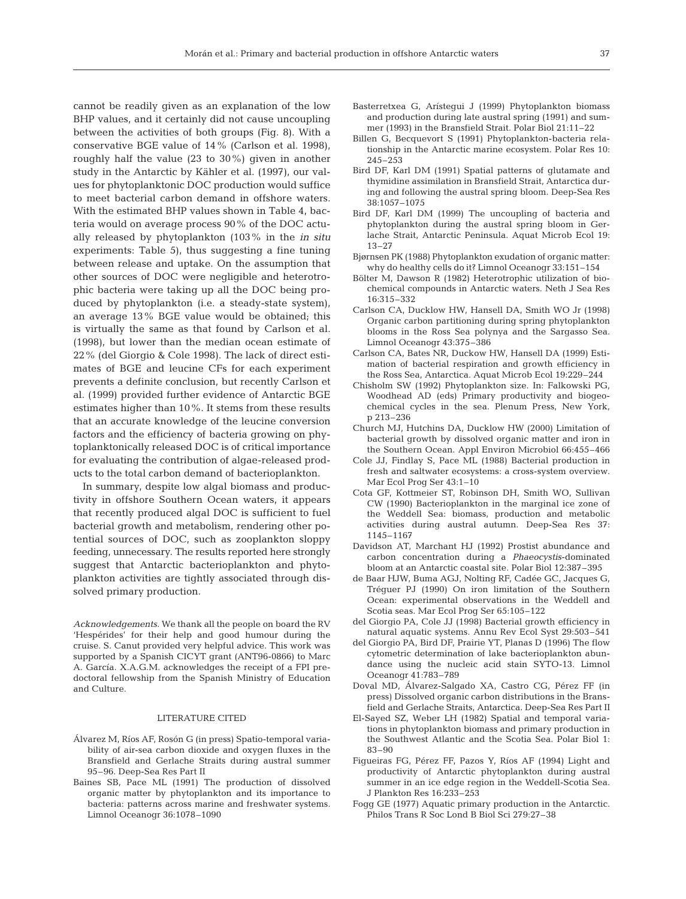cannot be readily given as an explanation of the low BHP values, and it certainly did not cause uncoupling between the activities of both groups (Fig. 8). With a conservative BGE value of 14% (Carlson et al. 1998), roughly half the value (23 to 30%) given in another study in the Antarctic by Kähler et al. (1997), our values for phytoplanktonic DOC production would suffice to meet bacterial carbon demand in offshore waters. With the estimated BHP values shown in Table 4, bacteria would on average process 90% of the DOC actually released by phytoplankton (103% in the *in situ* experiments: Table 5), thus suggesting a fine tuning between release and uptake. On the assumption that other sources of DOC were negligible and heterotrophic bacteria were taking up all the DOC being produced by phytoplankton (i.e. a steady-state system), an average 13% BGE value would be obtained; this is virtually the same as that found by Carlson et al. (1998), but lower than the median ocean estimate of 22% (del Giorgio & Cole 1998). The lack of direct estimates of BGE and leucine CFs for each experiment prevents a definite conclusion, but recently Carlson et al. (1999) provided further evidence of Antarctic BGE estimates higher than 10%. It stems from these results that an accurate knowledge of the leucine conversion factors and the efficiency of bacteria growing on phytoplanktonically released DOC is of critical importance for evaluating the contribution of algae-released products to the total carbon demand of bacterioplankton.

In summary, despite low algal biomass and productivity in offshore Southern Ocean waters, it appears that recently produced algal DOC is sufficient to fuel bacterial growth and metabolism, rendering other potential sources of DOC, such as zooplankton sloppy feeding, unnecessary. The results reported here strongly suggest that Antarctic bacterioplankton and phytoplankton activities are tightly associated through dissolved primary production.

*Acknowledgements.* We thank all the people on board the RV 'Hespérides' for their help and good humour during the cruise. S. Canut provided very helpful advice. This work was supported by a Spanish CICYT grant (ANT96-0866) to Marc A. García. X.A.G.M. acknowledges the receipt of a FPI predoctoral fellowship from the Spanish Ministry of Education and Culture.

#### LITERATURE CITED

- Álvarez M, Ríos AF, Rosón G (in press) Spatio-temporal variability of air-sea carbon dioxide and oxygen fluxes in the Bransfield and Gerlache Straits during austral summer 95–96. Deep-Sea Res Part II
- Baines SB, Pace ML (1991) The production of dissolved organic matter by phytoplankton and its importance to bacteria: patterns across marine and freshwater systems. Limnol Oceanogr 36:1078–1090
- Basterretxea G, Arístegui J (1999) Phytoplankton biomass and production during late austral spring (1991) and summer (1993) in the Bransfield Strait. Polar Biol 21:11–22
- Billen G, Becquevort S (1991) Phytoplankton-bacteria relationship in the Antarctic marine ecosystem. Polar Res 10: 245–253
- Bird DF, Karl DM (1991) Spatial patterns of glutamate and thymidine assimilation in Bransfield Strait, Antarctica during and following the austral spring bloom. Deep-Sea Res 38:1057–1075
- Bird DF, Karl DM (1999) The uncoupling of bacteria and phytoplankton during the austral spring bloom in Gerlache Strait, Antarctic Peninsula. Aquat Microb Ecol 19: 13–27
- Bjørnsen PK (1988) Phytoplankton exudation of organic matter: why do healthy cells do it? Limnol Oceanogr 33:151–154
- Bölter M, Dawson R (1982) Heterotrophic utilization of biochemical compounds in Antarctic waters. Neth J Sea Res 16:315–332
- Carlson CA, Ducklow HW, Hansell DA, Smith WO Jr (1998) Organic carbon partitioning during spring phytoplankton blooms in the Ross Sea polynya and the Sargasso Sea. Limnol Oceanogr 43:375–386
- Carlson CA, Bates NR, Duckow HW, Hansell DA (1999) Estimation of bacterial respiration and growth efficiency in the Ross Sea, Antarctica. Aquat Microb Ecol 19:229–244
- Chisholm SW (1992) Phytoplankton size. In: Falkowski PG, Woodhead AD (eds) Primary productivity and biogeochemical cycles in the sea. Plenum Press, New York, p 213–236
- Church MJ, Hutchins DA, Ducklow HW (2000) Limitation of bacterial growth by dissolved organic matter and iron in the Southern Ocean. Appl Environ Microbiol 66:455–466
- Cole JJ, Findlay S, Pace ML (1988) Bacterial production in fresh and saltwater ecosystems: a cross-system overview. Mar Ecol Prog Ser 43:1–10
- Cota GF, Kottmeier ST, Robinson DH, Smith WO, Sullivan CW (1990) Bacterioplankton in the marginal ice zone of the Weddell Sea: biomass, production and metabolic activities during austral autumn. Deep-Sea Res 37: 1145–1167
- Davidson AT, Marchant HJ (1992) Prostist abundance and carbon concentration during a *Phaeocystis*-dominated bloom at an Antarctic coastal site. Polar Biol 12:387–395
- de Baar HJW, Buma AGJ, Nolting RF, Cadée GC, Jacques G, Tréguer PJ (1990) On iron limitation of the Southern Ocean: experimental observations in the Weddell and Scotia seas. Mar Ecol Prog Ser 65:105–122
- del Giorgio PA, Cole JJ (1998) Bacterial growth efficiency in natural aquatic systems. Annu Rev Ecol Syst 29:503–541
- del Giorgio PA, Bird DF, Prairie YT, Planas D (1996) The flow cytometric determination of lake bacterioplankton abundance using the nucleic acid stain SYTO-13. Limnol Oceanogr 41:783–789
- Doval MD, Álvarez-Salgado XA, Castro CG, Pérez FF (in press) Dissolved organic carbon distributions in the Bransfield and Gerlache Straits, Antarctica. Deep-Sea Res Part II
- El-Sayed SZ, Weber LH (1982) Spatial and temporal variations in phytoplankton biomass and primary production in the Southwest Atlantic and the Scotia Sea. Polar Biol 1: 83–90
- Figueiras FG, Pérez FF, Pazos Y, Ríos AF (1994) Light and productivity of Antarctic phytoplankton during austral summer in an ice edge region in the Weddell-Scotia Sea. J Plankton Res 16:233–253
- Fogg GE (1977) Aquatic primary production in the Antarctic. Philos Trans R Soc Lond B Biol Sci 279:27–38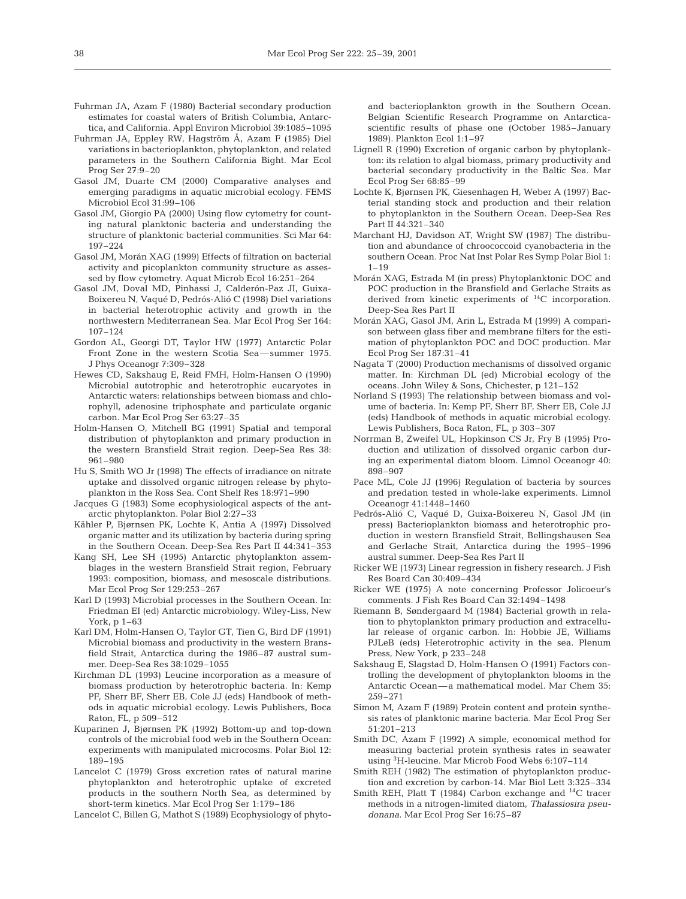- Fuhrman JA, Azam F (1980) Bacterial secondary production estimates for coastal waters of British Columbia, Antarctica, and California. Appl Environ Microbiol 39:1085–1095
- Fuhrman JA, Eppley RW, Hagström Å, Azam F (1985) Diel variations in bacterioplankton, phytoplankton, and related parameters in the Southern California Bight. Mar Ecol Prog Ser 27:9–20
- Gasol JM, Duarte CM (2000) Comparative analyses and emerging paradigms in aquatic microbial ecology. FEMS Microbiol Ecol 31:99–106
- Gasol JM, Giorgio PA (2000) Using flow cytometry for counting natural planktonic bacteria and understanding the structure of planktonic bacterial communities. Sci Mar 64: 197–224
- Gasol JM, Morán XAG (1999) Effects of filtration on bacterial activity and picoplankton community structure as assessed by flow cytometry. Aquat Microb Ecol 16:251–264
- Gasol JM, Doval MD, Pinhassi J, Calderón-Paz JI, Guixa-Boixereu N, Vaqué D, Pedrós-Alió C (1998) Diel variations in bacterial heterotrophic activity and growth in the northwestern Mediterranean Sea. Mar Ecol Prog Ser 164: 107–124
- Gordon AL, Georgi DT, Taylor HW (1977) Antarctic Polar Front Zone in the western Scotia Sea—summer 1975. J Phys Oceanogr 7:309–328
- Hewes CD, Sakshaug E, Reid FMH, Holm-Hansen O (1990) Microbial autotrophic and heterotrophic eucaryotes in Antarctic waters: relationships between biomass and chlorophyll, adenosine triphosphate and particulate organic carbon. Mar Ecol Prog Ser 63:27–35
- Holm-Hansen O, Mitchell BG (1991) Spatial and temporal distribution of phytoplankton and primary production in the western Bransfield Strait region. Deep-Sea Res 38: 961–980
- Hu S, Smith WO Jr (1998) The effects of irradiance on nitrate uptake and dissolved organic nitrogen release by phytoplankton in the Ross Sea. Cont Shelf Res 18:971–990
- Jacques G (1983) Some ecophysiological aspects of the antarctic phytoplankton. Polar Biol 2:27–33
- Kähler P, Bjørnsen PK, Lochte K, Antia A (1997) Dissolved organic matter and its utilization by bacteria during spring in the Southern Ocean. Deep-Sea Res Part II 44:341–353
- Kang SH, Lee SH (1995) Antarctic phytoplankton assemblages in the western Bransfield Strait region, February 1993: composition, biomass, and mesoscale distributions. Mar Ecol Prog Ser 129:253–267
- Karl D (1993) Microbial processes in the Southern Ocean. In: Friedman EI (ed) Antarctic microbiology. Wiley-Liss, New York, p 1–63
- Karl DM, Holm-Hansen O, Taylor GT, Tien G, Bird DF (1991) Microbial biomass and productivity in the western Bransfield Strait, Antarctica during the 1986–87 austral summer. Deep-Sea Res 38:1029–1055
- Kirchman DL (1993) Leucine incorporation as a measure of biomass production by heterotrophic bacteria. In: Kemp PF, Sherr BF, Sherr EB, Cole JJ (eds) Handbook of methods in aquatic microbial ecology. Lewis Publishers, Boca Raton, FL, p 509–512
- Kuparinen J, Bjørnsen PK (1992) Bottom-up and top-down controls of the microbial food web in the Southern Ocean: experiments with manipulated microcosms. Polar Biol 12: 189–195
- Lancelot C (1979) Gross excretion rates of natural marine phytoplankton and heterotrophic uptake of excreted products in the southern North Sea, as determined by short-term kinetics. Mar Ecol Prog Ser 1:179–186
- Lancelot C, Billen G, Mathot S (1989) Ecophysiology of phyto-

and bacterioplankton growth in the Southern Ocean. Belgian Scientific Research Programme on Antarcticascientific results of phase one (October 1985–January 1989). Plankton Ecol 1:1–97

- Lignell R (1990) Excretion of organic carbon by phytoplankton: its relation to algal biomass, primary productivity and bacterial secondary productivity in the Baltic Sea. Mar Ecol Prog Ser 68:85–99
- Lochte K, Bjørnsen PK, Giesenhagen H, Weber A (1997) Bacterial standing stock and production and their relation to phytoplankton in the Southern Ocean. Deep-Sea Res Part II 44:321–340
- Marchant HJ, Davidson AT, Wright SW (1987) The distribution and abundance of chroococcoid cyanobacteria in the southern Ocean. Proc Nat Inst Polar Res Symp Polar Biol 1:  $1 - 19$
- Morán XAG, Estrada M (in press) Phytoplanktonic DOC and POC production in the Bransfield and Gerlache Straits as derived from kinetic experiments of 14C incorporation. Deep-Sea Res Part II
- Morán XAG, Gasol JM, Arin L, Estrada M (1999) A comparison between glass fiber and membrane filters for the estimation of phytoplankton POC and DOC production. Mar Ecol Prog Ser 187:31–41
- Nagata T (2000) Production mechanisms of dissolved organic matter. In: Kirchman DL (ed) Microbial ecology of the oceans. John Wiley & Sons, Chichester, p 121–152
- Norland S (1993) The relationship between biomass and volume of bacteria. In: Kemp PF, Sherr BF, Sherr EB, Cole JJ (eds) Handbook of methods in aquatic microbial ecology. Lewis Publishers, Boca Raton, FL, p 303–307
- Norrman B, Zweifel UL, Hopkinson CS Jr, Fry B (1995) Production and utilization of dissolved organic carbon during an experimental diatom bloom. Limnol Oceanogr 40: 898–907
- Pace ML, Cole JJ (1996) Regulation of bacteria by sources and predation tested in whole-lake experiments. Limnol Oceanogr 41:1448–1460
- Pedrós-Alió C, Vaqué D, Guixa-Boixereu N, Gasol JM (in press) Bacterioplankton biomass and heterotrophic production in western Bransfield Strait, Bellingshausen Sea and Gerlache Strait, Antarctica during the 1995–1996 austral summer. Deep-Sea Res Part II
- Ricker WE (1973) Linear regression in fishery research. J Fish Res Board Can 30:409–434
- Ricker WE (1975) A note concerning Professor Jolicoeur's comments. J Fish Res Board Can 32:1494–1498
- Riemann B, Søndergaard M (1984) Bacterial growth in relation to phytoplankton primary production and extracellular release of organic carbon. In: Hobbie JE, Williams PJLeB (eds) Heterotrophic activity in the sea. Plenum Press, New York, p 233–248
- Sakshaug E, Slagstad D, Holm-Hansen O (1991) Factors controlling the development of phytoplankton blooms in the Antarctic Ocean—a mathematical model. Mar Chem 35: 259–271
- Simon M, Azam F (1989) Protein content and protein synthesis rates of planktonic marine bacteria. Mar Ecol Prog Ser 51:201–213
- Smith DC, Azam F (1992) A simple, economical method for measuring bacterial protein synthesis rates in seawater using <sup>3</sup>H-leucine. Mar Microb Food Webs 6:107-114
- Smith REH (1982) The estimation of phytoplankton production and excretion by carbon-14. Mar Biol Lett 3:325–334
- Smith REH, Platt T (1984) Carbon exchange and  $^{14}$ C tracer methods in a nitrogen-limited diatom, *Thalassiosira pseudonana*. Mar Ecol Prog Ser 16:75–87